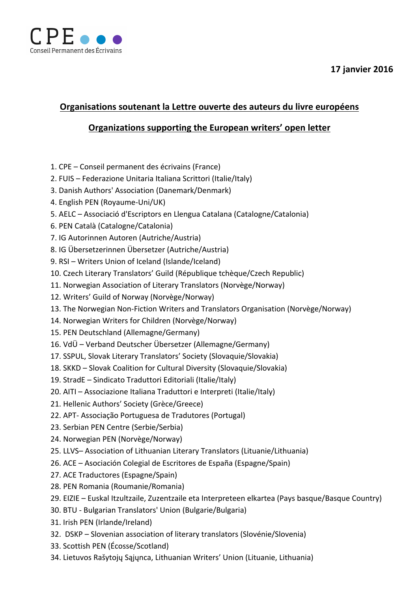

## **17 janvier 2016**

## **Organisations soutenant la Lettre ouverte des auteurs du livre européens**

## **Organizations supporting the European writers' open letter**

- 1. CPE Conseil permanent des écrivains (France)
- 2. FUIS Federazione Unitaria Italiana Scrittori (Italie/Italy)
- 3. Danish Authors' Association (Danemark/Denmark)
- 4. English PEN (Royaume-Uni/UK)
- 5. AELC Associació d'Escriptors en Llengua Catalana (Catalogne/Catalonia)
- 6. PEN Català (Catalogne/Catalonia)
- 7. IG Autorinnen Autoren (Autriche/Austria)
- 8. IG Übersetzerinnen Übersetzer (Autriche/Austria)
- 9. RSI Writers Union of Iceland (Islande/Iceland)
- 10. Czech Literary Translators' Guild (République tchèque/Czech Republic)
- 11. Norwegian Association of Literary Translators (Norvège/Norway)
- 12. Writers' Guild of Norway (Norvège/Norway)
- 13. The Norwegian Non-Fiction Writers and Translators Organisation (Norvège/Norway)
- 14. Norwegian Writers for Children (Norvège/Norway)
- 15. PEN Deutschland (Allemagne/Germany)
- 16. VdÜ Verband Deutscher Übersetzer (Allemagne/Germany)
- 17. SSPUL, Slovak Literary Translators' Society (Slovaquie/Slovakia)
- 18. SKKD Slovak Coalition for Cultural Diversity (Slovaquie/Slovakia)
- 19. StradE Sindicato Traduttori Editoriali (Italie/Italy)
- 20. AITI Associazione Italiana Traduttori e Interpreti (Italie/Italy)
- 21. Hellenic Authors' Society (Grèce/Greece)
- 22. APT- Associação Portuguesa de Tradutores (Portugal)
- 23. Serbian PEN Centre (Serbie/Serbia)
- 24. Norwegian PEN (Norvège/Norway)
- 25. LLVS- Association of Lithuanian Literary Translators (Lituanie/Lithuania)
- 26. ACE Asociación Colegial de Escritores de España (Espagne/Spain)
- 27. ACE Traductores (Espagne/Spain)
- 28. PEN Romania (Roumanie/Romania)
- 29. EIZIE Euskal Itzultzaile, Zuzentzaile eta Interpreteen elkartea (Pays basque/Basque Country)
- 30. BTU Bulgarian Translators' Union (Bulgarie/Bulgaria)
- 31. Irish PEN (Irlande/Ireland)
- 32. DSKP Slovenian association of literary translators (Slovénie/Slovenia)
- 33. Scottish PEN (Écosse/Scotland)
- 34. Lietuvos Rašytojų Sąjųnca, Lithuanian Writers' Union (Lituanie, Lithuania)